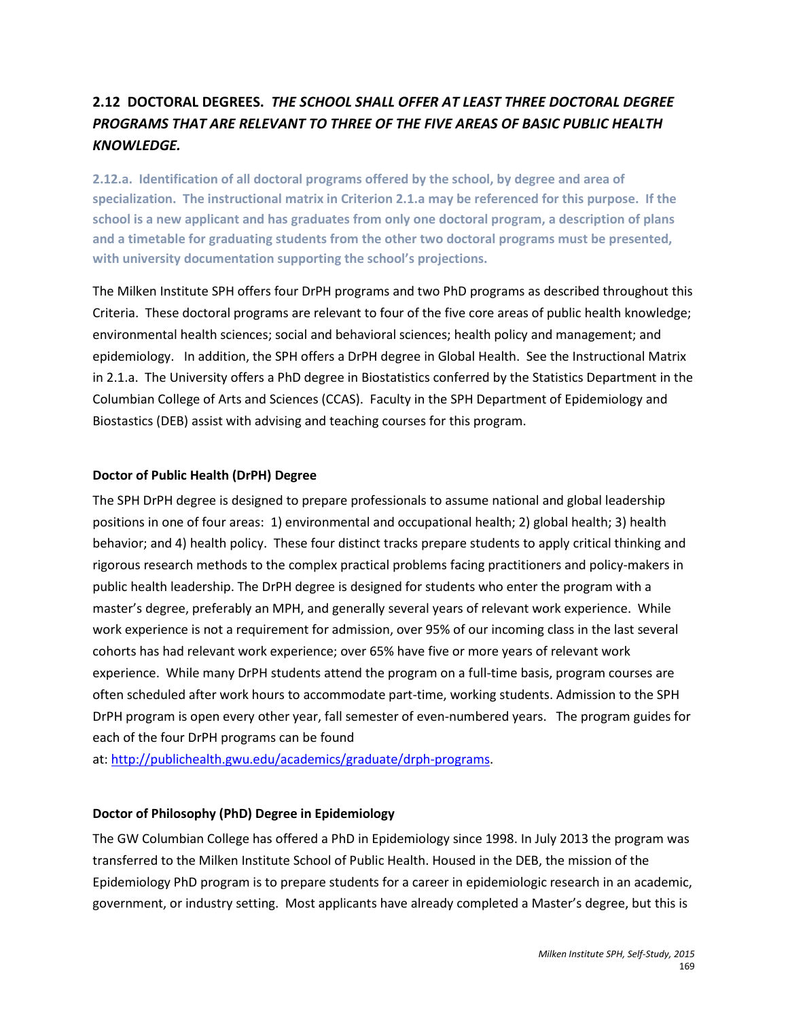# **2.12 DOCTORAL DEGREES.** *THE SCHOOL SHALL OFFER AT LEAST THREE DOCTORAL DEGREE PROGRAMS THAT ARE RELEVANT TO THREE OF THE FIVE AREAS OF BASIC PUBLIC HEALTH KNOWLEDGE.*

**2.12.a. Identification of all doctoral programs offered by the school, by degree and area of specialization. The instructional matrix in Criterion 2.1.a may be referenced for this purpose. If the school is a new applicant and has graduates from only one doctoral program, a description of plans and a timetable for graduating students from the other two doctoral programs must be presented, with university documentation supporting the school's projections.** 

The Milken Institute SPH offers four DrPH programs and two PhD programs as described throughout this Criteria. These doctoral programs are relevant to four of the five core areas of public health knowledge; environmental health sciences; social and behavioral sciences; health policy and management; and epidemiology. In addition, the SPH offers a DrPH degree in Global Health. See the Instructional Matrix in 2.1.a. The University offers a PhD degree in Biostatistics conferred by the Statistics Department in the Columbian College of Arts and Sciences (CCAS). Faculty in the SPH Department of Epidemiology and Biostastics (DEB) assist with advising and teaching courses for this program.

# **Doctor of Public Health (DrPH) Degree**

The SPH DrPH degree is designed to prepare professionals to assume national and global leadership positions in one of four areas: 1) environmental and occupational health; 2) global health; 3) health behavior; and 4) health policy. These four distinct tracks prepare students to apply critical thinking and rigorous research methods to the complex practical problems facing practitioners and policy-makers in public health leadership. The DrPH degree is designed for students who enter the program with a master's degree, preferably an MPH, and generally several years of relevant work experience. While work experience is not a requirement for admission, over 95% of our incoming class in the last several cohorts has had relevant work experience; over 65% have five or more years of relevant work experience. While many DrPH students attend the program on a full-time basis, program courses are often scheduled after work hours to accommodate part-time, working students. Admission to the SPH DrPH program is open every other year, fall semester of even-numbered years. The program guides for each of the four DrPH programs can be found

at: [http://publichealth.gwu.edu/academics/graduate/drph-programs.](http://publichealth.gwu.edu/academics/graduate/drph-programs)

# **Doctor of Philosophy (PhD) Degree in Epidemiology**

The GW Columbian College has offered a PhD in Epidemiology since 1998. In July 2013 the program was transferred to the Milken Institute School of Public Health. Housed in the DEB, the mission of the Epidemiology PhD program is to prepare students for a career in epidemiologic research in an academic, government, or industry setting. Most applicants have already completed a Master's degree, but this is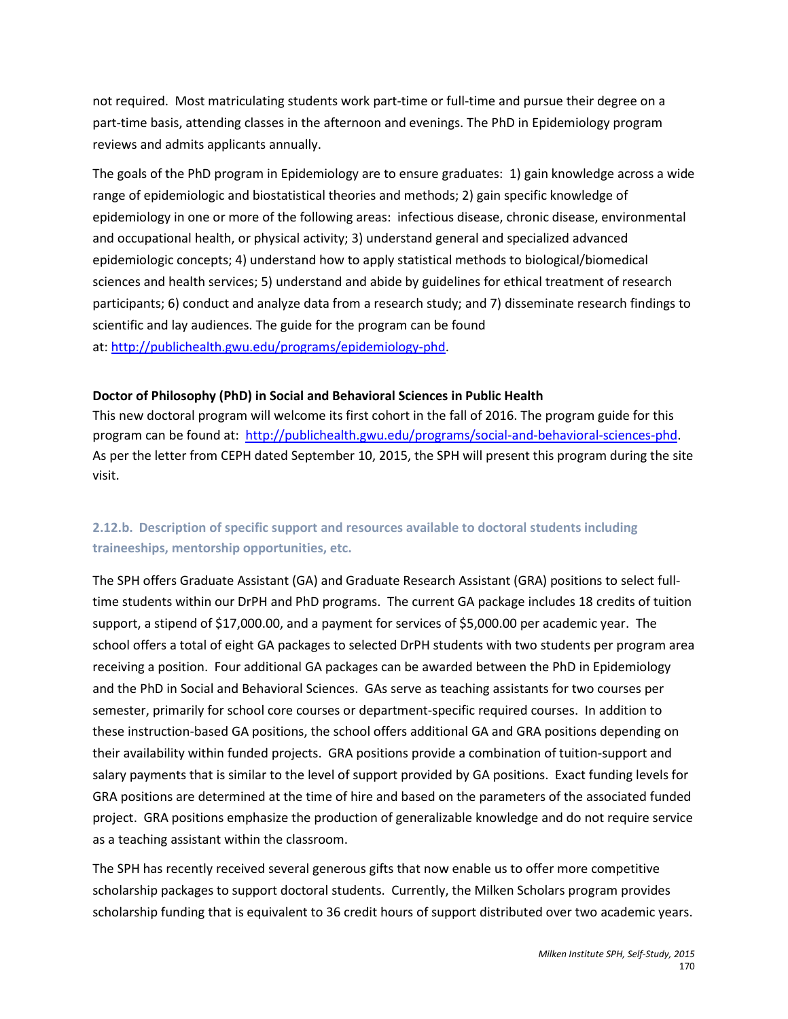not required. Most matriculating students work part-time or full-time and pursue their degree on a part-time basis, attending classes in the afternoon and evenings. The PhD in Epidemiology program reviews and admits applicants annually.

The goals of the PhD program in Epidemiology are to ensure graduates: 1) gain knowledge across a wide range of epidemiologic and biostatistical theories and methods; 2) gain specific knowledge of epidemiology in one or more of the following areas: infectious disease, chronic disease, environmental and occupational health, or physical activity; 3) understand general and specialized advanced epidemiologic concepts; 4) understand how to apply statistical methods to biological/biomedical sciences and health services; 5) understand and abide by guidelines for ethical treatment of research participants; 6) conduct and analyze data from a research study; and 7) disseminate research findings to scientific and lay audiences. The guide for the program can be found at: [http://publichealth.gwu.edu/programs/epidemiology-phd.](http://publichealth.gwu.edu/programs/epidemiology-phd)

# **Doctor of Philosophy (PhD) in Social and Behavioral Sciences in Public Health**

This new doctoral program will welcome its first cohort in the fall of 2016. The program guide for this program can be found at: [http://publichealth.gwu.edu/programs/social-and-behavioral-sciences-phd.](http://publichealth.gwu.edu/programs/social-and-behavioral-sciences-phd) As per the letter from CEPH dated September 10, 2015, the SPH will present this program during the site visit.

# **2.12.b. Description of specific support and resources available to doctoral students including traineeships, mentorship opportunities, etc.**

The SPH offers Graduate Assistant (GA) and Graduate Research Assistant (GRA) positions to select fulltime students within our DrPH and PhD programs. The current GA package includes 18 credits of tuition support, a stipend of \$17,000.00, and a payment for services of \$5,000.00 per academic year. The school offers a total of eight GA packages to selected DrPH students with two students per program area receiving a position. Four additional GA packages can be awarded between the PhD in Epidemiology and the PhD in Social and Behavioral Sciences. GAs serve as teaching assistants for two courses per semester, primarily for school core courses or department-specific required courses. In addition to these instruction-based GA positions, the school offers additional GA and GRA positions depending on their availability within funded projects. GRA positions provide a combination of tuition-support and salary payments that is similar to the level of support provided by GA positions. Exact funding levels for GRA positions are determined at the time of hire and based on the parameters of the associated funded project. GRA positions emphasize the production of generalizable knowledge and do not require service as a teaching assistant within the classroom.

The SPH has recently received several generous gifts that now enable us to offer more competitive scholarship packages to support doctoral students. Currently, the Milken Scholars program provides scholarship funding that is equivalent to 36 credit hours of support distributed over two academic years.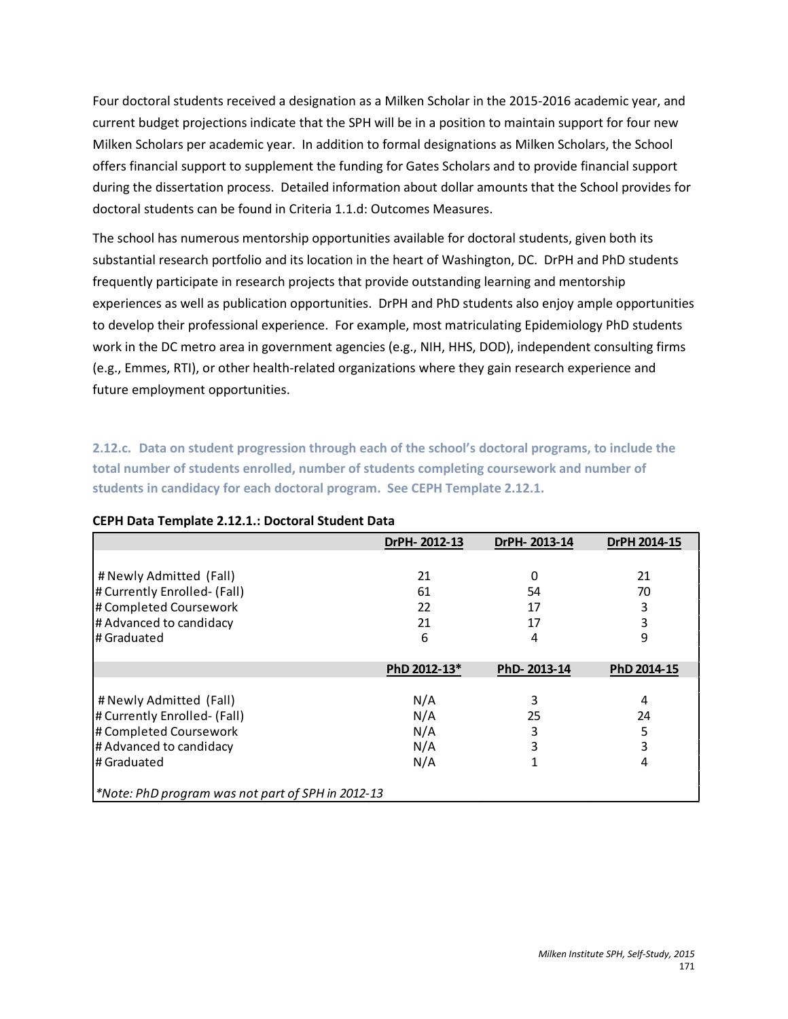Four doctoral students received a designation as a Milken Scholar in the 2015-2016 academic year, and current budget projections indicate that the SPH will be in a position to maintain support for four new Milken Scholars per academic year. In addition to formal designations as Milken Scholars, the School offers financial support to supplement the funding for Gates Scholars and to provide financial support during the dissertation process. Detailed information about dollar amounts that the School provides for doctoral students can be found in Criteria 1.1.d: Outcomes Measures.

The school has numerous mentorship opportunities available for doctoral students, given both its substantial research portfolio and its location in the heart of Washington, DC. DrPH and PhD students frequently participate in research projects that provide outstanding learning and mentorship experiences as well as publication opportunities. DrPH and PhD students also enjoy ample opportunities to develop their professional experience. For example, most matriculating Epidemiology PhD students work in the DC metro area in government agencies (e.g., NIH, HHS, DOD), independent consulting firms (e.g., Emmes, RTI), or other health-related organizations where they gain research experience and future employment opportunities.

**2.12.c. Data on student progression through each of the school's doctoral programs, to include the total number of students enrolled, number of students completing coursework and number of students in candidacy for each doctoral program. See CEPH Template 2.12.1.** 

|                                                   | DrPH-2012-13 | DrPH-2013-14 | DrPH 2014-15 |
|---------------------------------------------------|--------------|--------------|--------------|
|                                                   |              |              |              |
| # Newly Admitted (Fall)                           | 21           | 0            | 21           |
| # Currently Enrolled- (Fall)                      | 61           | 54           | 70           |
| # Completed Coursework                            | 22           | 17           | 3            |
| # Advanced to candidacy                           | 21           | 17           | 3            |
| l# Graduated                                      | 6            | 4            | 9            |
|                                                   |              |              |              |
|                                                   | PhD 2012-13* | PhD-2013-14  | PhD 2014-15  |
|                                                   |              |              |              |
| # Newly Admitted (Fall)                           | N/A          | 3            | 4            |
| # Currently Enrolled- (Fall)                      | N/A          | 25           | 24           |
| # Completed Coursework                            | N/A          | 3            | 5            |
| # Advanced to candidacy                           | N/A          | 3            | 3            |
| l# Graduated                                      | N/A          |              | 4            |
|                                                   |              |              |              |
| *Note: PhD program was not part of SPH in 2012-13 |              |              |              |

#### **CEPH Data Template 2.12.1.: Doctoral Student Data**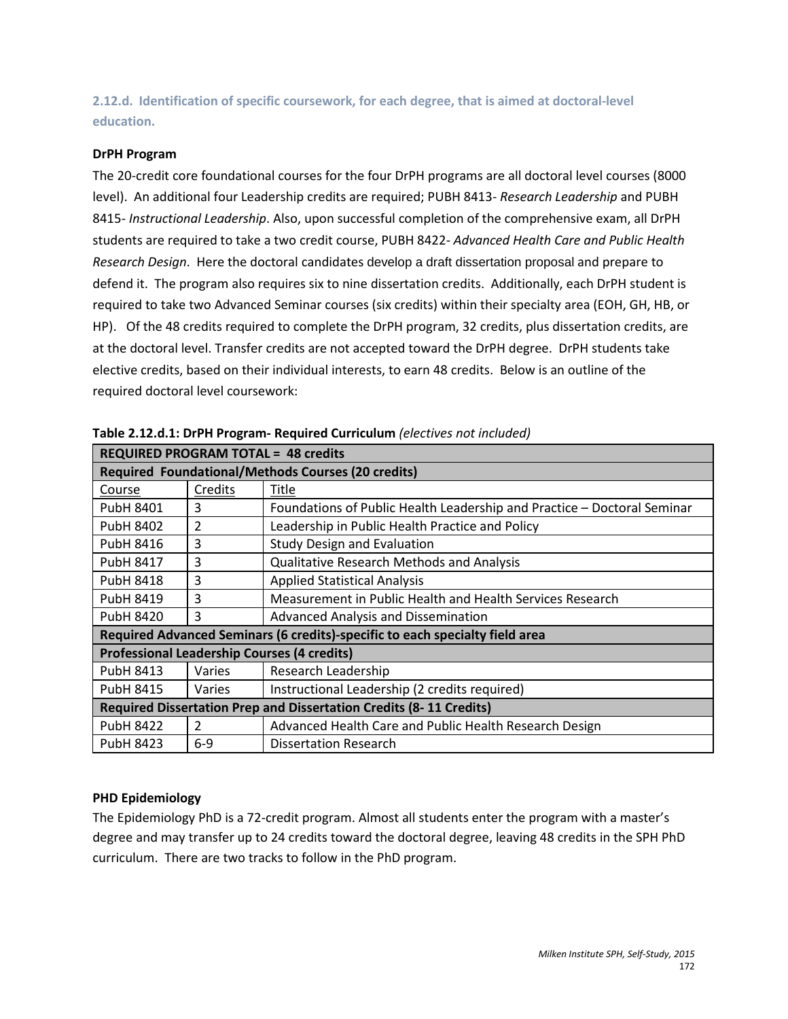**2.12.d. Identification of specific coursework, for each degree, that is aimed at doctoral-level education.**

#### **DrPH Program**

The 20-credit core foundational courses for the four DrPH programs are all doctoral level courses (8000 level). An additional four Leadership credits are required; PUBH 8413- *Research Leadership* and PUBH 8415- *Instructional Leadership*. Also, upon successful completion of the comprehensive exam, all DrPH students are required to take a two credit course, PUBH 8422- *Advanced Health Care and Public Health Research Design*. Here the doctoral candidates develop a draft dissertation proposal and prepare to defend it. The program also requires six to nine dissertation credits. Additionally, each DrPH student is required to take two Advanced Seminar courses (six credits) within their specialty area (EOH, GH, HB, or HP). Of the 48 credits required to complete the DrPH program, 32 credits, plus dissertation credits, are at the doctoral level. Transfer credits are not accepted toward the DrPH degree. DrPH students take elective credits, based on their individual interests, to earn 48 credits. Below is an outline of the required doctoral level coursework:

| <b>REQUIRED PROGRAM TOTAL = 48 credits</b>                                   |         |                                                                         |  |
|------------------------------------------------------------------------------|---------|-------------------------------------------------------------------------|--|
| <b>Required Foundational/Methods Courses (20 credits)</b>                    |         |                                                                         |  |
| Course                                                                       | Credits | Title                                                                   |  |
| PubH 8401                                                                    | 3       | Foundations of Public Health Leadership and Practice - Doctoral Seminar |  |
| <b>PubH 8402</b>                                                             | 2       | Leadership in Public Health Practice and Policy                         |  |
| <b>PubH 8416</b>                                                             | 3       | <b>Study Design and Evaluation</b>                                      |  |
| PubH 8417                                                                    | 3       | <b>Qualitative Research Methods and Analysis</b>                        |  |
| PubH 8418                                                                    | 3       | <b>Applied Statistical Analysis</b>                                     |  |
| PubH 8419                                                                    | 3       | Measurement in Public Health and Health Services Research               |  |
| PubH 8420                                                                    | 3       | Advanced Analysis and Dissemination                                     |  |
| Required Advanced Seminars (6 credits)-specific to each specialty field area |         |                                                                         |  |
| <b>Professional Leadership Courses (4 credits)</b>                           |         |                                                                         |  |
| PubH 8413                                                                    | Varies  | Research Leadership                                                     |  |
| PubH 8415                                                                    | Varies  | Instructional Leadership (2 credits required)                           |  |
| <b>Required Dissertation Prep and Dissertation Credits (8-11 Credits)</b>    |         |                                                                         |  |
| <b>PubH 8422</b>                                                             | 2       | Advanced Health Care and Public Health Research Design                  |  |
| PubH 8423                                                                    | $6-9$   | Dissertation Research                                                   |  |

**Table 2.12.d.1: DrPH Program- Required Curriculum** *(electives not included)*

#### **PHD Epidemiology**

The Epidemiology PhD is a 72-credit program. Almost all students enter the program with a master's degree and may transfer up to 24 credits toward the doctoral degree, leaving 48 credits in the SPH PhD curriculum. There are two tracks to follow in the PhD program.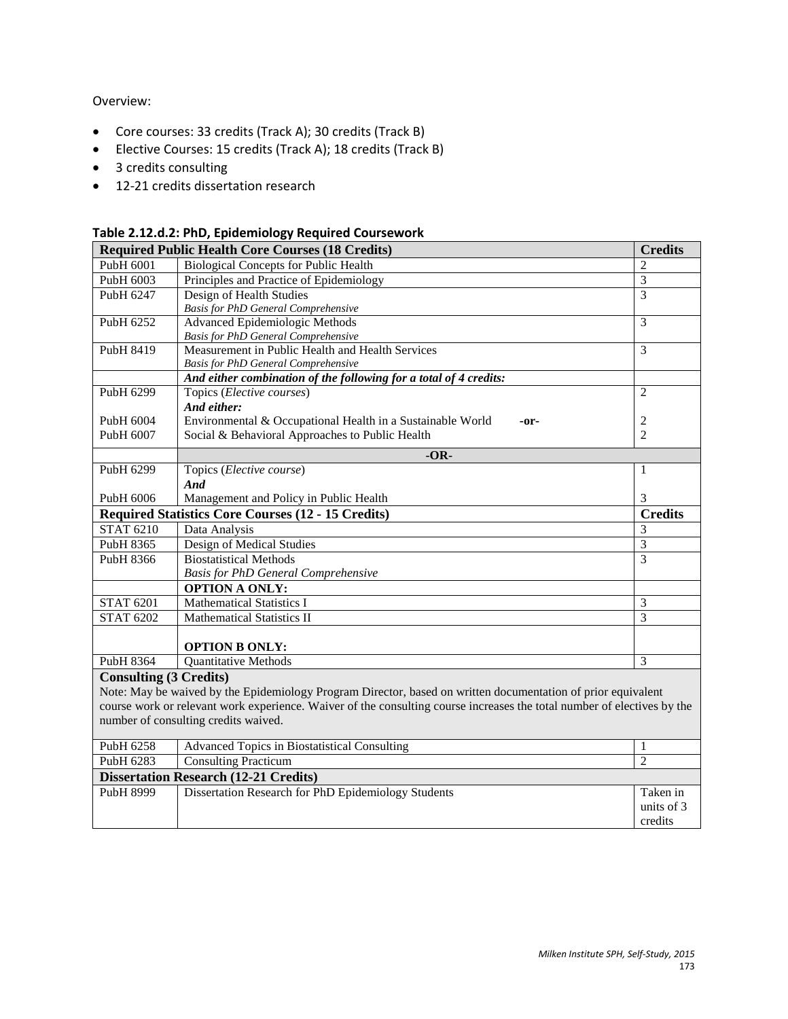# Overview:

- Core courses: 33 credits (Track A); 30 credits (Track B)
- Elective Courses: 15 credits (Track A); 18 credits (Track B)
- 3 credits consulting
- 12-21 credits dissertation research

|  | Table 2.12.d.2: PhD, Epidemiology Required Coursework |  |
|--|-------------------------------------------------------|--|
|--|-------------------------------------------------------|--|

|                               | <b>Required Public Health Core Courses (18 Credits)</b>                                                                 | <b>Credits</b>                   |  |
|-------------------------------|-------------------------------------------------------------------------------------------------------------------------|----------------------------------|--|
| PubH 6001                     | <b>Biological Concepts for Public Health</b>                                                                            | $\overline{2}$<br>$\overline{3}$ |  |
| PubH 6003                     | Principles and Practice of Epidemiology                                                                                 |                                  |  |
| PubH 6247                     | Design of Health Studies                                                                                                | 3                                |  |
|                               | <b>Basis for PhD General Comprehensive</b>                                                                              |                                  |  |
| PubH 6252                     | <b>Advanced Epidemiologic Methods</b>                                                                                   | $\overline{3}$                   |  |
|                               | <b>Basis for PhD General Comprehensive</b>                                                                              | 3                                |  |
| PubH 8419                     | Measurement in Public Health and Health Services                                                                        |                                  |  |
|                               | <b>Basis for PhD General Comprehensive</b>                                                                              |                                  |  |
|                               | And either combination of the following for a total of 4 credits:                                                       | $\overline{2}$                   |  |
| PubH 6299                     | Topics (Elective courses)                                                                                               |                                  |  |
|                               | And either:                                                                                                             |                                  |  |
| PubH 6004                     | Environmental & Occupational Health in a Sustainable World<br>$-0r-$                                                    | $\overline{2}$<br>$\overline{c}$ |  |
| PubH 6007                     | Social & Behavioral Approaches to Public Health                                                                         |                                  |  |
|                               | $-OR-$                                                                                                                  |                                  |  |
| PubH 6299                     | Topics (Elective course)                                                                                                | $\mathbf{1}$                     |  |
|                               | And                                                                                                                     |                                  |  |
| PubH 6006                     | Management and Policy in Public Health                                                                                  | 3                                |  |
|                               | <b>Required Statistics Core Courses (12 - 15 Credits)</b>                                                               | <b>Credits</b>                   |  |
| <b>STAT 6210</b>              | Data Analysis                                                                                                           | 3                                |  |
| PubH 8365                     | Design of Medical Studies                                                                                               | $\overline{3}$                   |  |
| PubH 8366                     | <b>Biostatistical Methods</b>                                                                                           | $\overline{3}$                   |  |
|                               | <b>Basis for PhD General Comprehensive</b>                                                                              |                                  |  |
|                               | <b>OPTION A ONLY:</b>                                                                                                   |                                  |  |
| <b>STAT 6201</b>              | <b>Mathematical Statistics I</b>                                                                                        | 3                                |  |
| <b>STAT 6202</b>              | <b>Mathematical Statistics II</b>                                                                                       | $\overline{3}$                   |  |
|                               |                                                                                                                         |                                  |  |
|                               | <b>OPTION B ONLY:</b>                                                                                                   |                                  |  |
| PubH 8364                     | <b>Quantitative Methods</b>                                                                                             | 3                                |  |
| <b>Consulting (3 Credits)</b> |                                                                                                                         |                                  |  |
|                               | Note: May be waived by the Epidemiology Program Director, based on written documentation of prior equivalent            |                                  |  |
|                               | course work or relevant work experience. Waiver of the consulting course increases the total number of electives by the |                                  |  |
|                               | number of consulting credits waived.                                                                                    |                                  |  |
| PubH 6258                     | <b>Advanced Topics in Biostatistical Consulting</b>                                                                     | 1                                |  |
| PubH 6283                     | <b>Consulting Practicum</b>                                                                                             | $\overline{2}$                   |  |
|                               | <b>Dissertation Research (12-21 Credits)</b>                                                                            |                                  |  |
| PubH 8999                     | Dissertation Research for PhD Epidemiology Students                                                                     | Taken in                         |  |
|                               |                                                                                                                         | units of 3                       |  |
|                               |                                                                                                                         | credits                          |  |
|                               |                                                                                                                         |                                  |  |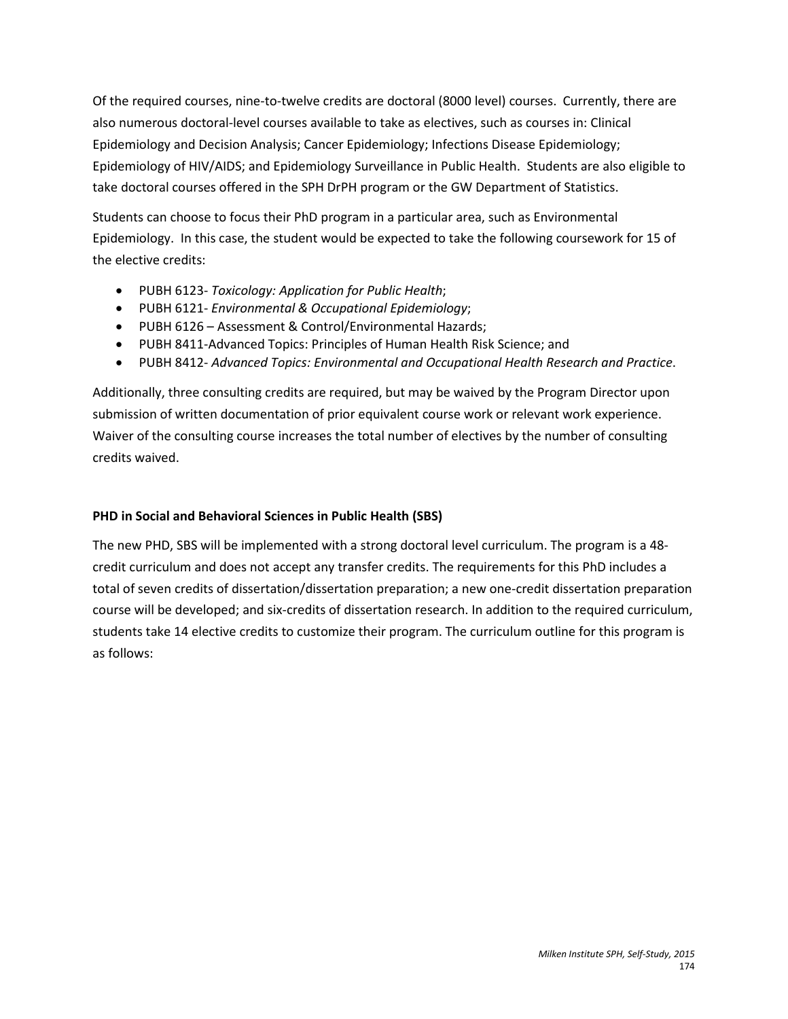Of the required courses, nine-to-twelve credits are doctoral (8000 level) courses. Currently, there are also numerous doctoral-level courses available to take as electives, such as courses in: Clinical Epidemiology and Decision Analysis; Cancer Epidemiology; Infections Disease Epidemiology; Epidemiology of HIV/AIDS; and Epidemiology Surveillance in Public Health. Students are also eligible to take doctoral courses offered in the SPH DrPH program or the GW Department of Statistics.

Students can choose to focus their PhD program in a particular area, such as Environmental Epidemiology. In this case, the student would be expected to take the following coursework for 15 of the elective credits:

- PUBH 6123- *Toxicology: Application for Public Health*;
- PUBH 6121- *Environmental & Occupational Epidemiology*;
- PUBH 6126 Assessment & Control/Environmental Hazards;
- PUBH 8411-Advanced Topics: Principles of Human Health Risk Science; and
- PUBH 8412- *Advanced Topics: Environmental and Occupational Health Research and Practice*.

Additionally, three consulting credits are required, but may be waived by the Program Director upon submission of written documentation of prior equivalent course work or relevant work experience. Waiver of the consulting course increases the total number of electives by the number of consulting credits waived.

# **PHD in Social and Behavioral Sciences in Public Health (SBS)**

The new PHD, SBS will be implemented with a strong doctoral level curriculum. The program is a 48 credit curriculum and does not accept any transfer credits. The requirements for this PhD includes a total of seven credits of dissertation/dissertation preparation; a new one-credit dissertation preparation course will be developed; and six-credits of dissertation research. In addition to the required curriculum, students take 14 elective credits to customize their program. The curriculum outline for this program is as follows: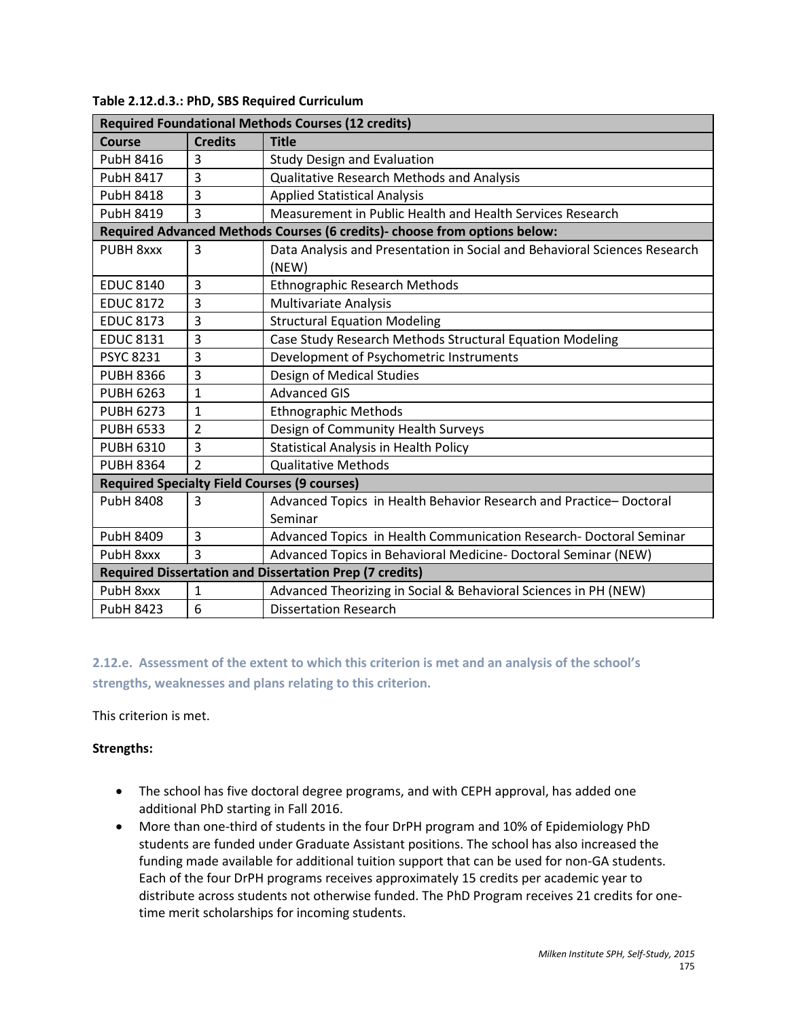| <b>Required Foundational Methods Courses (12 credits)</b>      |                          |                                                                                    |
|----------------------------------------------------------------|--------------------------|------------------------------------------------------------------------------------|
| Course                                                         | <b>Credits</b>           | <b>Title</b>                                                                       |
| <b>PubH 8416</b>                                               | 3                        | <b>Study Design and Evaluation</b>                                                 |
| <b>PubH 8417</b>                                               | 3                        | <b>Qualitative Research Methods and Analysis</b>                                   |
| <b>PubH 8418</b>                                               | 3                        | <b>Applied Statistical Analysis</b>                                                |
| PubH 8419                                                      | 3                        | Measurement in Public Health and Health Services Research                          |
|                                                                |                          | Required Advanced Methods Courses (6 credits)- choose from options below:          |
| PUBH 8xxx                                                      | 3                        | Data Analysis and Presentation in Social and Behavioral Sciences Research<br>(NEW) |
| <b>EDUC 8140</b>                                               | 3                        | <b>Ethnographic Research Methods</b>                                               |
| <b>EDUC 8172</b>                                               | 3                        | Multivariate Analysis                                                              |
| <b>EDUC 8173</b>                                               | 3                        | <b>Structural Equation Modeling</b>                                                |
| <b>EDUC 8131</b>                                               | 3                        | Case Study Research Methods Structural Equation Modeling                           |
| <b>PSYC 8231</b>                                               | 3                        | Development of Psychometric Instruments                                            |
| <b>PUBH 8366</b>                                               | 3                        | Design of Medical Studies                                                          |
| <b>PUBH 6263</b>                                               | 1                        | <b>Advanced GIS</b>                                                                |
| <b>PUBH 6273</b>                                               | 1                        | <b>Ethnographic Methods</b>                                                        |
| <b>PUBH 6533</b>                                               | $\overline{2}$           | Design of Community Health Surveys                                                 |
| <b>PUBH 6310</b>                                               | 3                        | Statistical Analysis in Health Policy                                              |
| <b>PUBH 8364</b>                                               | $\overline{\phantom{a}}$ | <b>Qualitative Methods</b>                                                         |
| <b>Required Specialty Field Courses (9 courses)</b>            |                          |                                                                                    |
| <b>PubH 8408</b>                                               | 3                        | Advanced Topics in Health Behavior Research and Practice-Doctoral<br>Seminar       |
| PubH 8409                                                      | 3                        | Advanced Topics in Health Communication Research- Doctoral Seminar                 |
| PubH 8xxx                                                      | $\overline{3}$           | Advanced Topics in Behavioral Medicine- Doctoral Seminar (NEW)                     |
| <b>Required Dissertation and Dissertation Prep (7 credits)</b> |                          |                                                                                    |
| PubH 8xxx                                                      | 1                        | Advanced Theorizing in Social & Behavioral Sciences in PH (NEW)                    |
| PubH 8423                                                      | 6                        | Dissertation Research                                                              |

**Table 2.12.d.3.: PhD, SBS Required Curriculum**

**2.12.e. Assessment of the extent to which this criterion is met and an analysis of the school's strengths, weaknesses and plans relating to this criterion.**

This criterion is met.

#### **Strengths:**

- The school has five doctoral degree programs, and with CEPH approval, has added one additional PhD starting in Fall 2016.
- More than one-third of students in the four DrPH program and 10% of Epidemiology PhD students are funded under Graduate Assistant positions. The school has also increased the funding made available for additional tuition support that can be used for non-GA students. Each of the four DrPH programs receives approximately 15 credits per academic year to distribute across students not otherwise funded. The PhD Program receives 21 credits for onetime merit scholarships for incoming students.